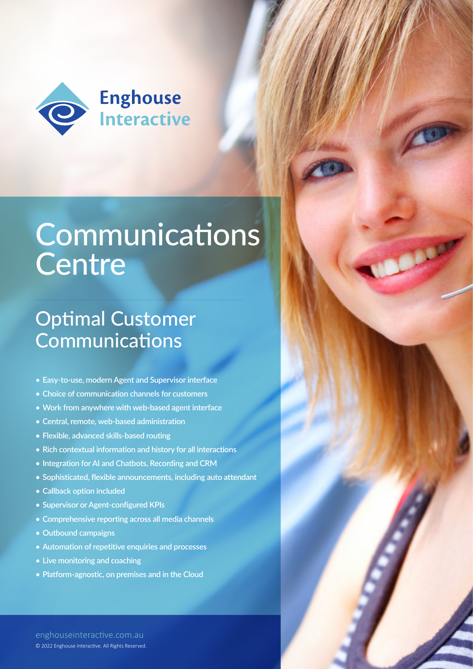

# Communications **Centre**

## Optimal Customer **Communications**

- **Easy-to-use, modern Agent and Supervisor interface**
- **Choice of communication channels for customers**
- **Work from anywhere with web-based agent interface**
- **Central, remote, web-based administration**
- **Flexible, advanced skills-based routing**
- **Rich contextual information and history for all interactions**
- **Integration for AI and Chatbots, Recording and CRM**
- **Sophisticated, flexible announcements, including auto attendant**
- **Callback option included**
- **Supervisor or Agent-configured KPIs**
- **Comprehensive reporting across all media channels**
- **Outbound campaigns**
- **Automation of repetitive enquiries and processes**
- **Live monitoring and coaching**
- **Platform-agnostic, on premises and in the Cloud**

[enghouseinteractive.com.au](https://www.enghouseinteractive.com.au) © 2022 Enghouse Interactive. All Rights Reserved.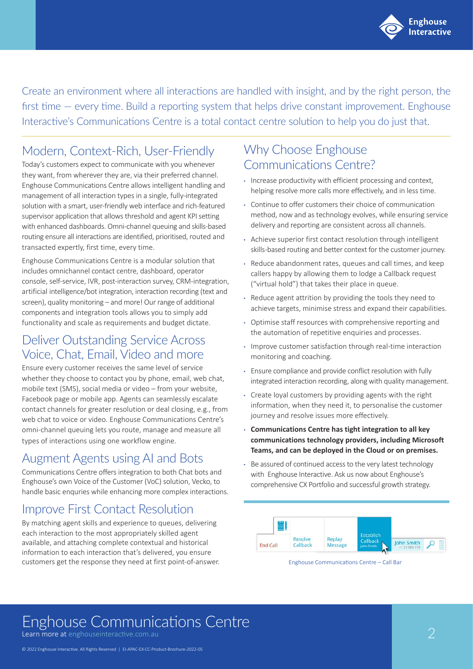

Create an environment where all interactions are handled with insight, and by the right person, the first time — every time. Build a reporting system that helps drive constant improvement. Enghouse Interactive's Communications Centre is a total contact centre solution to help you do just that.

### Modern, Context-Rich, User-Friendly

Today's customers expect to communicate with you whenever they want, from wherever they are, via their preferred channel. Enghouse Communications Centre allows intelligent handling and management of all interaction types in a single, fully-integrated solution with a smart, user-friendly web interface and rich-featured supervisor application that allows threshold and agent KPI setting with enhanced dashboards. Omni-channel queuing and skills-based routing ensure all interactions are identified, prioritised, routed and transacted expertly, first time, every time.

Enghouse Communications Centre is a modular solution that includes omnichannel contact centre, dashboard, operator console, self-service, IVR, post-interaction survey, CRM-integration, artificial intelligence/bot integration, interaction recording (text and screen), quality monitoring – and more! Our range of additional components and integration tools allows you to simply add functionality and scale as requirements and budget dictate.

### Deliver Outstanding Service Across Voice, Chat, Email, Video and more

Ensure every customer receives the same level of service whether they choose to contact you by phone, email, web chat, mobile text (SMS), social media or video – from your website, Facebook page or mobile app. Agents can seamlessly escalate contact channels for greater resolution or deal closing, e.g., from web chat to voice or video. Enghouse Communications Centre's omni-channel queuing lets you route, manage and measure all types of interactions using one workflow engine.

### Augment Agents using AI and Bots

Communications Centre offers integration to both Chat bots and Enghouse's own Voice of the Customer (VoC) solution, Vecko, to handle basic enquries while enhancing more complex interactions.

### Improve First Contact Resolution

By matching agent skills and experience to queues, delivering each interaction to the most appropriately skilled agent available, and attaching complete contextual and historical information to each interaction that's delivered, you ensure customers get the response they need at first point-of-answer.

### Why Choose Enghouse Communications Centre?

- Increase productivity with efficient processing and context, helping resolve more calls more effectively, and in less time.
- Continue to offer customers their choice of communication method, now and as technology evolves, while ensuring service delivery and reporting are consistent across all channels.
- Achieve superior first contact resolution through intelligent skills-based routing and better context for the customer journey.
- Reduce abandonment rates, queues and call times, and keep callers happy by allowing them to lodge a Callback request ("virtual hold") that takes their place in queue.
- Reduce agent attrition by providing the tools they need to achieve targets, minimise stress and expand their capabilities.
- Optimise staff resources with comprehensive reporting and the automation of repetitive enquiries and processes.
- Improve customer satisfaction through real-time interaction monitoring and coaching.
- Ensure compliance and provide conflict resolution with fully integrated interaction recording, along with quality management.
- Create loyal customers by providing agents with the right information, when they need it, to personalise the customer journey and resolve issues more effectively.
- **Communications Centre has tight integration to all key communications technology providers, including Microsoft Teams, and can be deployed in the Cloud or on premises.**
- Be assured of continued access to the very latest technology with Enghouse Interactive. Ask us now about Enghouse's comprehensive CX Portfolio and successful growth strategy.



Enghouse Communications Centre – Call Bar

### Enghouse Communications Centre Learn more at [enghouseinteractive.com.au](https://www.enghouseinteractive.com.au)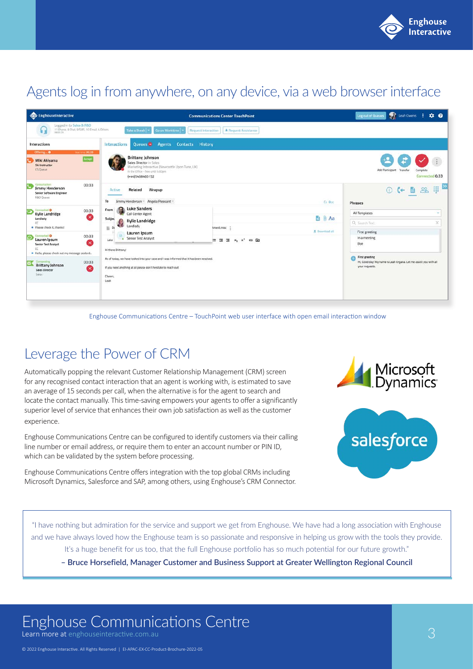

### Agents log in from anywhere, on any device, via a web browser interface

| <b>EnghouseInteractive</b>                                                                                                                                                                                                                             |                                                                                                                                                                                                                                                   | <b>Communications Center TouchPoint</b>                   | Log out of Queues <b>Company</b> Leah Owens : CO O                                                   |
|--------------------------------------------------------------------------------------------------------------------------------------------------------------------------------------------------------------------------------------------------------|---------------------------------------------------------------------------------------------------------------------------------------------------------------------------------------------------------------------------------------------------|-----------------------------------------------------------|------------------------------------------------------------------------------------------------------|
| Logged in to Sales & R&D<br>11 Phone, B Chat, 9 SMS, 10 Email, 4 Others<br>Ы<br>08.00.29                                                                                                                                                               | Take a Break   -<br>Go on Worktime                                                                                                                                                                                                                | <b>A</b> Request Assistance<br><b>Request Interaction</b> |                                                                                                      |
| Interactions                                                                                                                                                                                                                                           | Queues <sup>5</sup> Agents Contacts History<br>Interactions                                                                                                                                                                                       |                                                           |                                                                                                      |
| Wattme 00:33<br>Accept<br>Miki Akiyama<br>Ski Instructor<br>CS Queue                                                                                                                                                                                   | <b>Brittany Johnson</b><br>Sales Director in Sales<br>Marketing Interactive (Newcastle Upon Tune, UK)<br>In the Office - free until 5.00pm<br>$(+44)5468465152$<br>Wrapup<br>Related<br>Active<br>Jimmy Henderson Angela Pleasant<br>To<br>Cc Bcc |                                                           | Add Participant Transfer<br>Complete<br>Connected 0:33                                               |
| Consultation<br>00:33<br>Jimmy Henderson<br>Senior Software Engineer<br>R&D Queue                                                                                                                                                                      |                                                                                                                                                                                                                                                   |                                                           | :<br>22<br>$\bigcirc$ $\uparrow$<br>E<br><b>Phrases</b>                                              |
| <b>Luke Sanders</b><br>е<br>Connected <sup>O</sup><br>From<br>00:33<br>Call Center Agent<br><b>Kylie Landridge</b><br>$\infty$<br>Subjec<br>Landlady<br><b>Kylie Landridge</b><br>$\alpha$<br>Landlady<br>· Please check it, thanks!<br>$\mathbb B$ Di |                                                                                                                                                                                                                                                   | <b>B Aa</b>                                               | All Templates<br>$\sim$<br>×<br>Q Search Text                                                        |
|                                                                                                                                                                                                                                                        | Lauren Ipsum<br>· Senior Test Analyst<br>Lato<br>Hi there Brittany!                                                                                                                                                                               | hment.misc<br><b>E</b> Download all                       | First greeting                                                                                       |
| Connected O<br>00:33<br>Lauren Ipsum<br>Ø<br>Senior Test Analyst<br>EC.                                                                                                                                                                                |                                                                                                                                                                                                                                                   |                                                           | In a meeting<br>Bye                                                                                  |
| · Hello, please check out my message yesterd<br>Composing<br>00:33<br><b>Brittany Johnson</b><br>$\infty$<br>Sales Director<br>Sales                                                                                                                   | As of today, we have looked into your case and I was informed that it has been resolved.<br>If you need anything at all please don't hesitate to reach out!<br>Cheers,<br>Leah                                                                    |                                                           | First greeting<br>Hi, Good day! My name is Leah Organa. Let me assist you with all<br>your requests. |
|                                                                                                                                                                                                                                                        |                                                                                                                                                                                                                                                   |                                                           |                                                                                                      |

#### Enghouse Communications Centre – TouchPoint web user interface with open email interaction window

### Leverage the Power of CRM

Automatically popping the relevant Customer Relationship Management (CRM) screen for any recognised contact interaction that an agent is working with, is estimated to save an average of 15 seconds per call, when the alternative is for the agent to search and locate the contact manually. This time-saving empowers your agents to offer a significantly superior level of service that enhances their own job satisfaction as well as the customer experience.

Enghouse Communications Centre can be configured to identify customers via their calling line number or email address, or require them to enter an account number or PIN ID, which can be validated by the system before processing.

Enghouse Communications Centre offers integration with the top global CRMs including Microsoft Dynamics, Salesforce and SAP, among others, using Enghouse's CRM Connector.



"I have nothing but admiration for the service and support we get from Enghouse. We have had a long association with Enghouse and we have always loved how the Enghouse team is so passionate and responsive in helping us grow with the tools they provide. It's a huge benefit for us too, that the full Enghouse portfolio has so much potential for our future growth."

**– Bruce Horsefield, Manager Customer and Business Support at Greater Wellington Regional Council**

### Enghouse Communications Centre

Learn more at [enghouseinteractive.com.au](https://www.enghouseinteractive.com.au)